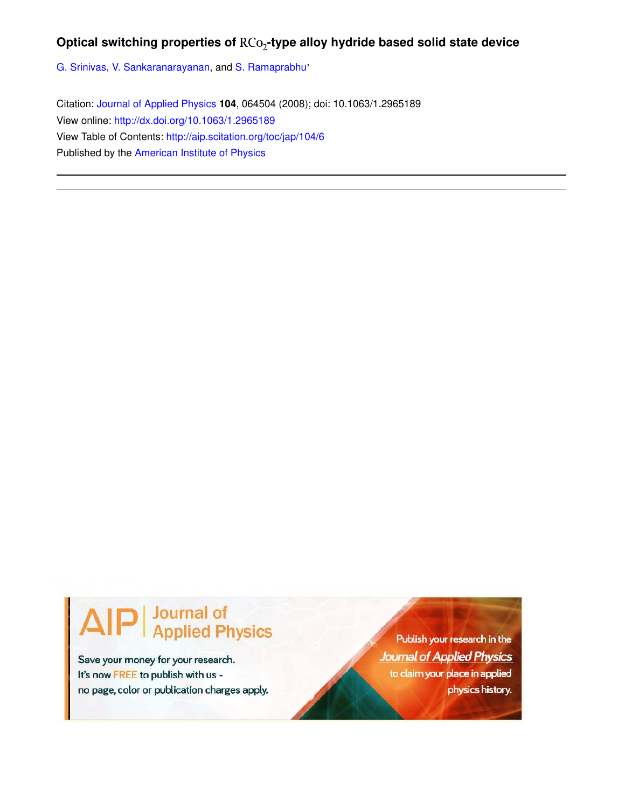## Optical switching properties of RCo<sub>2</sub>-type alloy hydride based solid state device

G. Srinivas, V. Sankaranarayanan, and S. Ramaprabhu'

Citation: Journal of Applied Physics **104**, 064504 (2008); doi: 10.1063/1.2965189 View online: http://dx.doi.org/10.1063/1.2965189 View Table of Contents: http://aip.scitation.org/toc/jap/104/6 Published by the American Institute of Physics

# Journal of<br>Applied Physics

Save your money for your research. It's now FREE to publish with us no page, color or publication charges apply.

Publish your research in the **Journal of Applied Physics** to claim your place in applied physics history.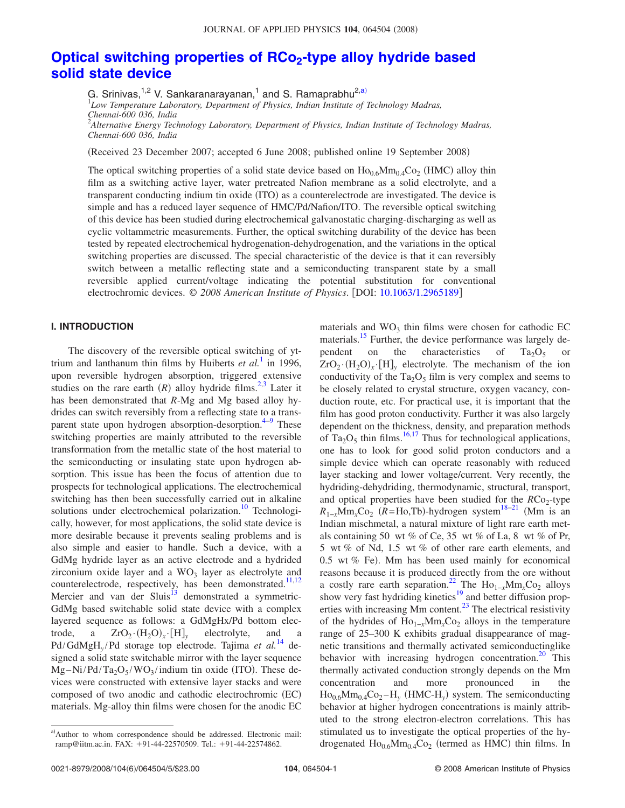## **Optical switching properties of RCo<sup>2</sup> -type alloy hydride based solid state device**

G. Srinivas,<sup>1,2</sup> V. Sankaranarayanan,<sup>1</sup> and S. Ramaprabhu<sup>2,a)</sup><br><sup>1</sup>Low Temperature Laboratory, Department of Physics, Indian Institute of Technology Madras, *Chennai-600 036, India*

2 *Alternative Energy Technology Laboratory, Department of Physics, Indian Institute of Technology Madras, Chennai-600 036, India*

Received 23 December 2007; accepted 6 June 2008; published online 19 September 2008-

The optical switching properties of a solid state device based on  $\text{Ho}_{0.6}\text{Mm}_{0.4}\text{Co}_2$  (HMC) alloy thin film as a switching active layer, water pretreated Nafion membrane as a solid electrolyte, and a transparent conducting indium tin oxide (ITO) as a counterelectrode are investigated. The device is simple and has a reduced layer sequence of HMC/Pd/Nafion/ITO. The reversible optical switching of this device has been studied during electrochemical galvanostatic charging-discharging as well as cyclic voltammetric measurements. Further, the optical switching durability of the device has been tested by repeated electrochemical hydrogenation-dehydrogenation, and the variations in the optical switching properties are discussed. The special characteristic of the device is that it can reversibly switch between a metallic reflecting state and a semiconducting transparent state by a small reversible applied current/voltage indicating the potential substitution for conventional electrochromic devices. © 2008 American Institute of Physics. [DOI: 10.1063/1.2965189]

### **I. INTRODUCTION**

The discovery of the reversible optical switching of yttrium and lanthanum thin films by Huiberts *et al.*<sup>1</sup> in 1996, upon reversible hydrogen absorption, triggered extensive studies on the rare earth  $(R)$  alloy hydride films.<sup>2,3</sup> Later it has been demonstrated that *R*-Mg and Mg based alloy hydrides can switch reversibly from a reflecting state to a transparent state upon hydrogen absorption-desorption.<sup>4-9</sup> These switching properties are mainly attributed to the reversible transformation from the metallic state of the host material to the semiconducting or insulating state upon hydrogen absorption. This issue has been the focus of attention due to prospects for technological applications. The electrochemical switching has then been successfully carried out in alkaline solutions under electrochemical polarization.<sup>10</sup> Technologically, however, for most applications, the solid state device is more desirable because it prevents sealing problems and is also simple and easier to handle. Such a device, with a GdMg hydride layer as an active electrode and a hydrided zirconium oxide layer and a  $WO<sub>3</sub>$  layer as electrolyte and counterelectrode, respectively, has been demonstrated.<sup>11,12</sup> Mercier and van der  $Sluis^{13}$  demonstrated a symmetric-GdMg based switchable solid state device with a complex layered sequence as follows: a GdMgHx/Pd bottom electrode, a  $ZrO_2 \cdot (H_2O)_x$ electrolyte, and a Pd/GdMgH*<sup>y</sup>* /Pd storage top electrode. Tajima *et al.*<sup>14</sup> designed a solid state switchable mirror with the layer sequence  $Mg-Ni/Pd/Ta_2O_5/WO_3/indium$  tin oxide (ITO). These devices were constructed with extensive layer stacks and were composed of two anodic and cathodic electrochromic (EC) materials. Mg-alloy thin films were chosen for the anodic EC

materials and  $WO_3$  thin films were chosen for cathodic EC materials.<sup>15</sup> Further, the device performance was largely dependent on the characteristics of  $Ta_2O_5$  or  $ZrO_2 \cdot (H_2O)_x \cdot [H]_y$  electrolyte. The mechanism of the ion conductivity of the  $Ta_2O_5$  film is very complex and seems to be closely related to crystal structure, oxygen vacancy, conduction route, etc. For practical use, it is important that the film has good proton conductivity. Further it was also largely dependent on the thickness, density, and preparation methods of  $Ta_2O_5$  thin films.<sup>16,17</sup> Thus for technological applications, one has to look for good solid proton conductors and a simple device which can operate reasonably with reduced layer stacking and lower voltage/current. Very recently, the hydriding-dehydriding, thermodynamic, structural, transport, and optical properties have been studied for the *RC*o<sub>2</sub>-type  $R_{1-x}$ Mm<sub>*x*</sub>Co<sub>2</sub> (R=Ho,Tb)-hydrogen system<sup>18–21</sup> (Mm is an Indian mischmetal, a natural mixture of light rare earth metals containing 50 wt *%* of Ce, 35 wt *%* of La, 8 wt *%* of Pr, 5 wt *%* of Nd, 1.5 wt *%* of other rare earth elements, and 0.5 wt % Fe). Mm has been used mainly for economical reasons because it is produced directly from the ore without a costly rare earth separation.<sup>22</sup> The Ho<sub>1−*x*</sub>Mm<sub>*x*</sub>Co<sub>2</sub> alloys show very fast hydriding kinetics<sup>19</sup> and better diffusion properties with increasing Mm content.<sup>23</sup> The electrical resistivity of the hydrides of Ho<sub>1−*x*</sub>Mm<sub>*x*</sub>Co<sub>2</sub> alloys in the temperature range of 25–300 K exhibits gradual disappearance of magnetic transitions and thermally activated semiconductinglike behavior with increasing hydrogen concentration.<sup>20</sup> This thermally activated conduction strongly depends on the Mm concentration and more pronounced in the  $Ho<sub>0.6</sub>Mm<sub>0.4</sub>Co<sub>2</sub>–H<sub>y</sub>$  (HMC-H<sub>y</sub>) system. The semiconducting behavior at higher hydrogen concentrations is mainly attributed to the strong electron-electron correlations. This has stimulated us to investigate the optical properties of the hydrogenated  $Ho<sub>0.6</sub>Mm<sub>0.4</sub>Co<sub>2</sub>$  (termed as HMC) thin films. In

a)Author to whom correspondence should be addressed. Electronic mail: ramp@iitm.ac.in. FAX: +91-44-22570509. Tel.: +91-44-22574862.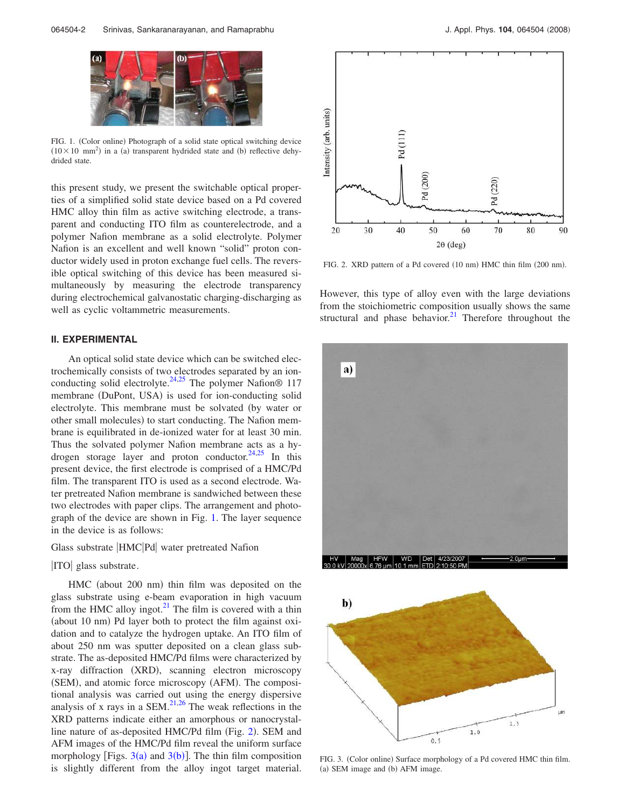

FIG. 1. (Color online) Photograph of a solid state optical switching device  $(10 \times 10$  mm<sup>2</sup>) in a (a) transparent hydrided state and (b) reflective dehydrided state.

this present study, we present the switchable optical properties of a simplified solid state device based on a Pd covered HMC alloy thin film as active switching electrode, a transparent and conducting ITO film as counterelectrode, and a polymer Nafion membrane as a solid electrolyte. Polymer Nafion is an excellent and well known "solid" proton conductor widely used in proton exchange fuel cells. The reversible optical switching of this device has been measured simultaneously by measuring the electrode transparency during electrochemical galvanostatic charging-discharging as well as cyclic voltammetric measurements.

#### **II. EXPERIMENTAL**

An optical solid state device which can be switched electrochemically consists of two electrodes separated by an ionconducting solid electrolyte.<sup>24,25</sup> The polymer Nafion<sup>®</sup> 117 membrane (DuPont, USA) is used for ion-conducting solid electrolyte. This membrane must be solvated (by water or other small molecules) to start conducting. The Nafion membrane is equilibrated in de-ionized water for at least 30 min. Thus the solvated polymer Nafion membrane acts as a hydrogen storage layer and proton conductor. <sup>24,25</sup> In this present device, the first electrode is comprised of a HMC/Pd film. The transparent ITO is used as a second electrode. Water pretreated Nafion membrane is sandwiched between these two electrodes with paper clips. The arrangement and photograph of the device are shown in Fig. 1. The layer sequence in the device is as follows:

Glass substrate HMC Pd water pretreated Nafion

ITO glass substrate.

HMC (about 200 nm) thin film was deposited on the glass substrate using e-beam evaporation in high vacuum from the HMC alloy ingot. $^{21}$  The film is covered with a thin (about 10 nm) Pd layer both to protect the film against oxidation and to catalyze the hydrogen uptake. An ITO film of about 250 nm was sputter deposited on a clean glass substrate. The as-deposited HMC/Pd films were characterized by x-ray diffraction (XRD), scanning electron microscopy (SEM), and atomic force microscopy (AFM). The compositional analysis was carried out using the energy dispersive analysis of x rays in a SEM. $^{21,26}$  The weak reflections in the XRD patterns indicate either an amorphous or nanocrystalline nature of as-deposited HMC/Pd film (Fig. 2). SEM and AFM images of the HMC/Pd film reveal the uniform surface morphology [Figs.  $3(a)$  and  $3(b)$ ]. The thin film composition is slightly different from the alloy ingot target material.



FIG. 2. XRD pattern of a Pd covered (10 nm) HMC thin film (200 nm).

However, this type of alloy even with the large deviations from the stoichiometric composition usually shows the same structural and phase behavior.<sup>21</sup> Therefore throughout the





FIG. 3. (Color online) Surface morphology of a Pd covered HMC thin film. (a) SEM image and (b) AFM image.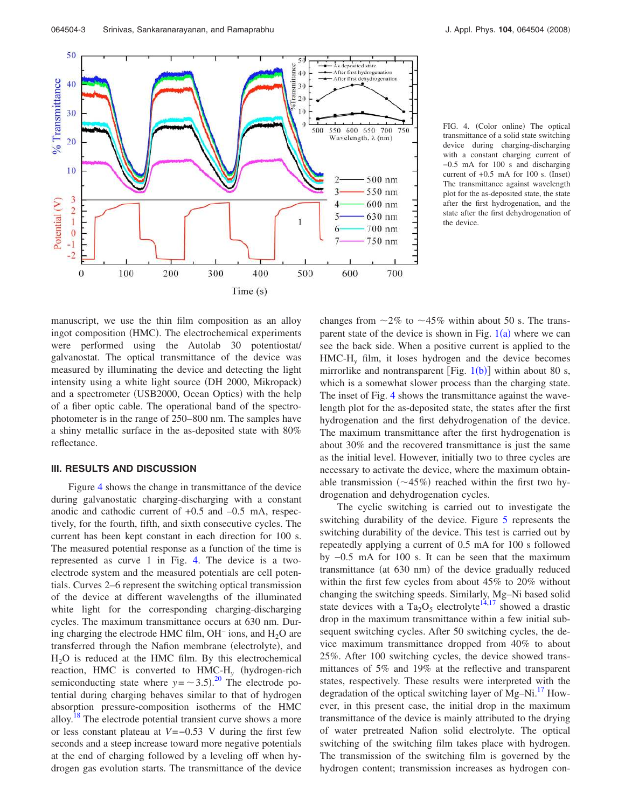

FIG. 4. (Color online) The optical transmittance of a solid state switching device during charging-discharging with a constant charging current of −0.5 mA for 100 s and discharging current of  $+0.5$  mA for 100 s. (Inset) The transmittance against wavelength plot for the as-deposited state, the state after the first hydrogenation, and the state after the first dehydrogenation of the device.

manuscript, we use the thin film composition as an alloy ingot composition (HMC). The electrochemical experiments were performed using the Autolab 30 potentiostat/ galvanostat. The optical transmittance of the device was measured by illuminating the device and detecting the light intensity using a white light source (DH 2000, Mikropack) and a spectrometer (USB2000, Ocean Optics) with the help of a fiber optic cable. The operational band of the spectrophotometer is in the range of 250–800 nm. The samples have a shiny metallic surface in the as-deposited state with 80% reflectance.

#### **III. RESULTS AND DISCUSSION**

Figure 4 shows the change in transmittance of the device during galvanostatic charging-discharging with a constant anodic and cathodic current of +0.5 and –0.5 mA, respectively, for the fourth, fifth, and sixth consecutive cycles. The current has been kept constant in each direction for 100 s. The measured potential response as a function of the time is represented as curve 1 in Fig. 4. The device is a twoelectrode system and the measured potentials are cell potentials. Curves 2–6 represent the switching optical transmission of the device at different wavelengths of the illuminated white light for the corresponding charging-discharging cycles. The maximum transmittance occurs at 630 nm. During charging the electrode HMC film, OH<sup>−</sup> ions, and H2O are transferred through the Nafion membrane (electrolyte), and  $H<sub>2</sub>O$  is reduced at the HMC film. By this electrochemical reaction, HMC is converted to HMC-H<sub>y</sub> (hydrogen-rich semiconducting state where  $y = \sim 3.5$ ).<sup>20</sup> The electrode potential during charging behaves similar to that of hydrogen absorption pressure-composition isotherms of the HMC alloy.<sup>18</sup> The electrode potential transient curve shows a more or less constant plateau at *V*=−0.53 V during the first few seconds and a steep increase toward more negative potentials at the end of charging followed by a leveling off when hydrogen gas evolution starts. The transmittance of the device changes from  $\sim$ 2% to  $\sim$ 45% within about 50 s. The transparent state of the device is shown in Fig.  $1(a)$  where we can see the back side. When a positive current is applied to the HMC-H*<sup>y</sup>* film, it loses hydrogen and the device becomes mirrorlike and nontransparent [Fig.  $1(b)$ ] within about 80 s, which is a somewhat slower process than the charging state. The inset of Fig. 4 shows the transmittance against the wavelength plot for the as-deposited state, the states after the first hydrogenation and the first dehydrogenation of the device. The maximum transmittance after the first hydrogenation is about 30% and the recovered transmittance is just the same as the initial level. However, initially two to three cycles are necessary to activate the device, where the maximum obtainable transmission  $(\sim 45\%)$  reached within the first two hydrogenation and dehydrogenation cycles.

The cyclic switching is carried out to investigate the switching durability of the device. Figure 5 represents the switching durability of the device. This test is carried out by repeatedly applying a current of 0.5 mA for 100 s followed by −0.5 mA for 100 s. It can be seen that the maximum transmittance (at 630 nm) of the device gradually reduced within the first few cycles from about 45% to 20% without changing the switching speeds. Similarly, Mg–Ni based solid state devices with a Ta<sub>2</sub>O<sub>5</sub> electrolyte<sup>14,17</sup> showed a drastic drop in the maximum transmittance within a few initial subsequent switching cycles. After 50 switching cycles, the device maximum transmittance dropped from 40% to about 25%. After 100 switching cycles, the device showed transmittances of 5% and 19% at the reflective and transparent states, respectively. These results were interpreted with the degradation of the optical switching layer of Mg–Ni.<sup>17</sup> However, in this present case, the initial drop in the maximum transmittance of the device is mainly attributed to the drying of water pretreated Nafion solid electrolyte. The optical switching of the switching film takes place with hydrogen. The transmission of the switching film is governed by the hydrogen content; transmission increases as hydrogen con-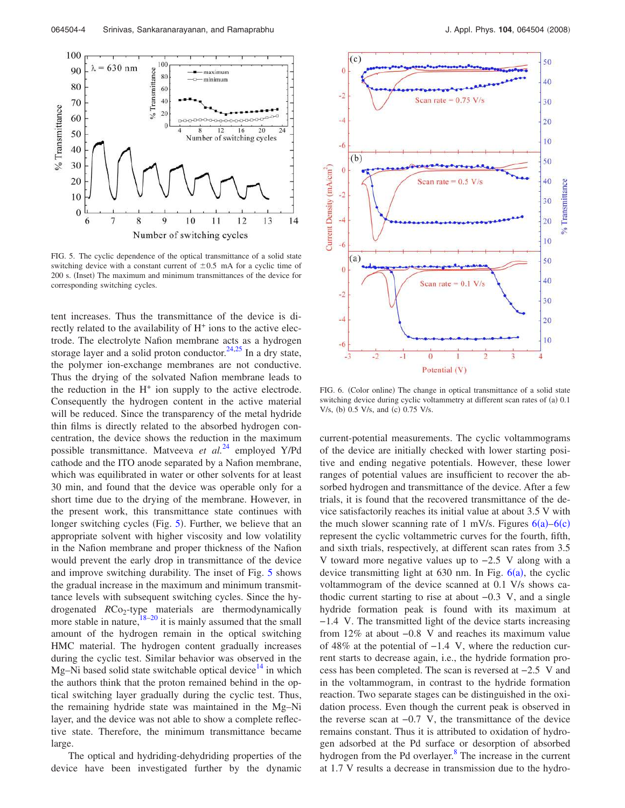

FIG. 5. The cyclic dependence of the optical transmittance of a solid state switching device with a constant current of  $\pm 0.5$  mA for a cyclic time of 200 s. (Inset) The maximum and minimum transmittances of the device for corresponding switching cycles.

tent increases. Thus the transmittance of the device is directly related to the availability of H<sup>+</sup> ions to the active electrode. The electrolyte Nafion membrane acts as a hydrogen storage layer and a solid proton conductor.<sup>24,25</sup> In a dry state, the polymer ion-exchange membranes are not conductive. Thus the drying of the solvated Nafion membrane leads to the reduction in the  $H^+$  ion supply to the active electrode. Consequently the hydrogen content in the active material will be reduced. Since the transparency of the metal hydride thin films is directly related to the absorbed hydrogen concentration, the device shows the reduction in the maximum possible transmittance. Matveeva *et al.*<sup>24</sup> employed Y/Pd cathode and the ITO anode separated by a Nafion membrane, which was equilibrated in water or other solvents for at least 30 min, and found that the device was operable only for a short time due to the drying of the membrane. However, in the present work, this transmittance state continues with longer switching cycles (Fig. 5). Further, we believe that an appropriate solvent with higher viscosity and low volatility in the Nafion membrane and proper thickness of the Nafion would prevent the early drop in transmittance of the device and improve switching durability. The inset of Fig. 5 shows the gradual increase in the maximum and minimum transmittance levels with subsequent switching cycles. Since the hydrogenated *RC*o<sub>2</sub>-type materials are thermodynamically more stable in nature,  $18-20$  it is mainly assumed that the small amount of the hydrogen remain in the optical switching HMC material. The hydrogen content gradually increases during the cyclic test. Similar behavior was observed in the Mg–Ni based solid state switchable optical device<sup> $14$ </sup> in which the authors think that the proton remained behind in the optical switching layer gradually during the cyclic test. Thus, the remaining hydride state was maintained in the Mg–Ni layer, and the device was not able to show a complete reflective state. Therefore, the minimum transmittance became large.

The optical and hydriding-dehydriding properties of the device have been investigated further by the dynamic



FIG. 6. (Color online) The change in optical transmittance of a solid state switching device during cyclic voltammetry at different scan rates of (a) 0.1 V/s, (b) 0.5 V/s, and (c) 0.75 V/s.

current-potential measurements. The cyclic voltammograms of the device are initially checked with lower starting positive and ending negative potentials. However, these lower ranges of potential values are insufficient to recover the absorbed hydrogen and transmittance of the device. After a few trials, it is found that the recovered transmittance of the device satisfactorily reaches its initial value at about 3.5 V with the much slower scanning rate of 1 mV/s. Figures  $6(a) - 6(c)$ represent the cyclic voltammetric curves for the fourth, fifth, and sixth trials, respectively, at different scan rates from 3.5 V toward more negative values up to −2.5 V along with a device transmitting light at 630 nm. In Fig.  $6(a)$ , the cyclic voltammogram of the device scanned at 0.1 V/s shows cathodic current starting to rise at about −0.3 V, and a single hydride formation peak is found with its maximum at −1.4 V. The transmitted light of the device starts increasing from 12% at about −0.8 V and reaches its maximum value of 48% at the potential of −1.4 V, where the reduction current starts to decrease again, i.e., the hydride formation process has been completed. The scan is reversed at −2.5 V and in the voltammogram, in contrast to the hydride formation reaction. Two separate stages can be distinguished in the oxidation process. Even though the current peak is observed in the reverse scan at −0.7 V, the transmittance of the device remains constant. Thus it is attributed to oxidation of hydrogen adsorbed at the Pd surface or desorption of absorbed hydrogen from the Pd overlayer.<sup>8</sup> The increase in the current at 1.7 V results a decrease in transmission due to the hydro-